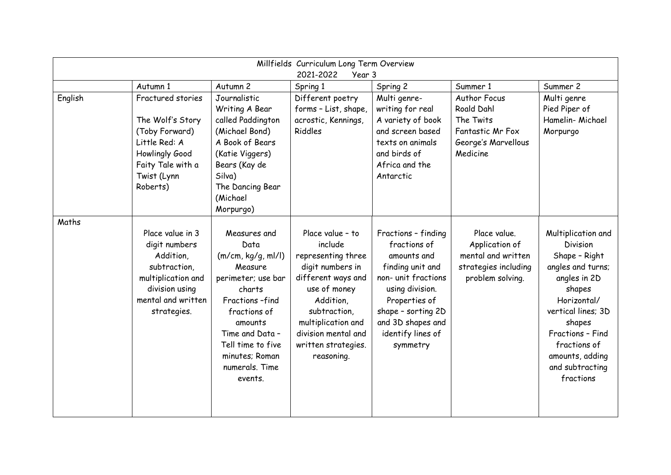| Millfields Curriculum Long Term Overview<br>2021-2022<br>Year 3 |                                                                                                                                             |                                                                                                                                                                                                                           |                                                                                                                                                                                                                            |                                                                                                                                                                                                               |                                                                                                  |                                                                                                                                                                                                                                             |
|-----------------------------------------------------------------|---------------------------------------------------------------------------------------------------------------------------------------------|---------------------------------------------------------------------------------------------------------------------------------------------------------------------------------------------------------------------------|----------------------------------------------------------------------------------------------------------------------------------------------------------------------------------------------------------------------------|---------------------------------------------------------------------------------------------------------------------------------------------------------------------------------------------------------------|--------------------------------------------------------------------------------------------------|---------------------------------------------------------------------------------------------------------------------------------------------------------------------------------------------------------------------------------------------|
|                                                                 | Autumn 1                                                                                                                                    | Autumn 2                                                                                                                                                                                                                  | Spring 1                                                                                                                                                                                                                   | Spring 2                                                                                                                                                                                                      | Summer 1                                                                                         | Summer 2                                                                                                                                                                                                                                    |
| English                                                         | Fractured stories<br>The Wolf's Story<br>(Toby Forward)<br>Little Red: A<br>Howlingly Good<br>Faity Tale with a<br>Twist (Lynn<br>Roberts)  | Journalistic<br>Writing A Bear<br>called Paddington<br>(Michael Bond)<br>A Book of Bears<br>(Katie Viggers)<br>Bears (Kay de<br>Silva)<br>The Dancing Bear<br>(Michael<br>Morpurgo)                                       | Different poetry<br>forms - List, shape,<br>acrostic, Kennings,<br>Riddles                                                                                                                                                 | Multi genre-<br>writing for real<br>A variety of book<br>and screen based<br>texts on animals<br>and birds of<br>Africa and the<br>Antarctic                                                                  | Author Focus<br>Roald Dahl<br>The Twits<br>Fantastic Mr Fox<br>George's Marvellous<br>Medicine   | Multi genre<br>Pied Piper of<br>Hamelin-Michael<br>Morpurgo                                                                                                                                                                                 |
| Maths                                                           | Place value in 3<br>digit numbers<br>Addition,<br>subtraction,<br>multiplication and<br>division using<br>mental and written<br>strategies. | Measures and<br>Data<br>(m/cm, kg/g, ml/l)<br>Measure<br>perimeter; use bar<br>charts<br>Fractions-find<br>fractions of<br>amounts<br>Time and Data -<br>Tell time to five<br>minutes; Roman<br>numerals. Time<br>events. | Place value - to<br>include<br>representing three<br>digit numbers in<br>different ways and<br>use of money<br>Addition.<br>subtraction,<br>multiplication and<br>division mental and<br>written strategies.<br>reasoning. | Fractions - finding<br>fractions of<br>amounts and<br>finding unit and<br>non- unit fractions<br>using division.<br>Properties of<br>shape - sorting 2D<br>and 3D shapes and<br>identify lines of<br>symmetry | Place value.<br>Application of<br>mental and written<br>strategies including<br>problem solving. | Multiplication and<br><b>Division</b><br>Shape - Right<br>angles and turns;<br>angles in 2D<br>shapes<br>Horizontal/<br>vertical lines; 3D<br>shapes<br>Fractions - Find<br>fractions of<br>amounts, adding<br>and subtracting<br>fractions |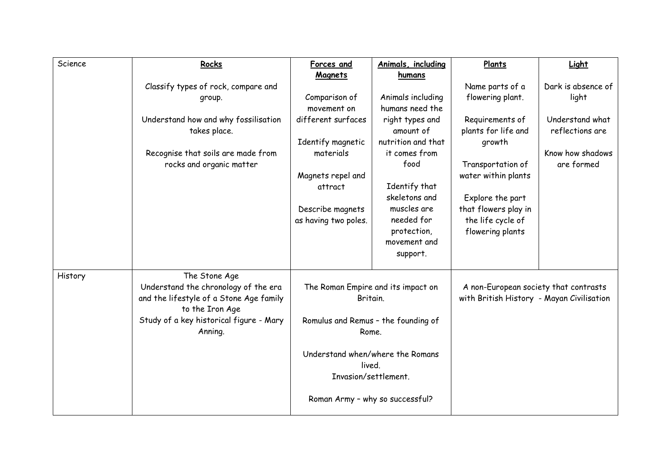| Science | Rocks                                   | Forces and                                                                                                                                            | Animals, including | Plants                                    | Light              |
|---------|-----------------------------------------|-------------------------------------------------------------------------------------------------------------------------------------------------------|--------------------|-------------------------------------------|--------------------|
|         |                                         | <b>Magnets</b>                                                                                                                                        | humans             |                                           |                    |
|         | Classify types of rock, compare and     |                                                                                                                                                       |                    | Name parts of a                           | Dark is absence of |
|         | group.                                  | Comparison of                                                                                                                                         | Animals including  | flowering plant.                          | light              |
|         |                                         | movement on                                                                                                                                           | humans need the    |                                           |                    |
|         | Understand how and why fossilisation    | different surfaces                                                                                                                                    | right types and    | Requirements of                           | Understand what    |
|         | takes place.                            |                                                                                                                                                       | amount of          | plants for life and                       | reflections are    |
|         |                                         | Identify magnetic                                                                                                                                     | nutrition and that | growth                                    |                    |
|         | Recognise that soils are made from      | materials                                                                                                                                             | it comes from      |                                           | Know how shadows   |
|         | rocks and organic matter                |                                                                                                                                                       | food               | Transportation of                         | are formed         |
|         |                                         | Magnets repel and                                                                                                                                     |                    | water within plants                       |                    |
|         |                                         | attract                                                                                                                                               | Identify that      |                                           |                    |
|         |                                         |                                                                                                                                                       | skeletons and      | Explore the part                          |                    |
|         |                                         | Describe magnets                                                                                                                                      | muscles are        | that flowers play in                      |                    |
|         |                                         | as having two poles.                                                                                                                                  | needed for         | the life cycle of                         |                    |
|         |                                         |                                                                                                                                                       | protection,        | flowering plants                          |                    |
|         |                                         |                                                                                                                                                       | movement and       |                                           |                    |
|         |                                         |                                                                                                                                                       | support.           |                                           |                    |
| History | The Stone Age                           |                                                                                                                                                       |                    |                                           |                    |
|         | Understand the chronology of the era    | The Roman Empire and its impact on                                                                                                                    |                    | A non-European society that contrasts     |                    |
|         | and the lifestyle of a Stone Age family | Britain.                                                                                                                                              |                    | with British History - Mayan Civilisation |                    |
|         | to the Iron Age                         | Romulus and Remus - the founding of<br>Rome.<br>Understand when/where the Romans<br>lived.<br>Invasion/settlement.<br>Roman Army - why so successful? |                    |                                           |                    |
|         | Study of a key historical figure - Mary |                                                                                                                                                       |                    |                                           |                    |
|         | Anning.                                 |                                                                                                                                                       |                    |                                           |                    |
|         |                                         |                                                                                                                                                       |                    |                                           |                    |
|         |                                         |                                                                                                                                                       |                    |                                           |                    |
|         |                                         |                                                                                                                                                       |                    |                                           |                    |
|         |                                         |                                                                                                                                                       |                    |                                           |                    |
|         |                                         |                                                                                                                                                       |                    |                                           |                    |
|         |                                         |                                                                                                                                                       |                    |                                           |                    |
|         |                                         |                                                                                                                                                       |                    |                                           |                    |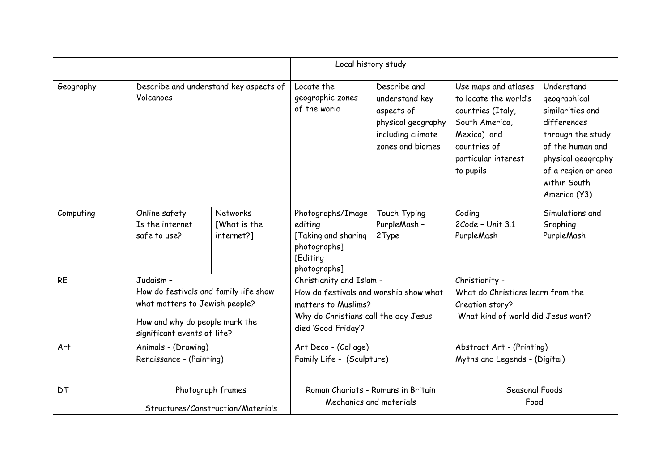|           |                                                        |                                                                                                                                          | Local history study                                                                             |                                                                                                                                                          |                                                                                                                                                         |                                                                                                                                                                                     |  |
|-----------|--------------------------------------------------------|------------------------------------------------------------------------------------------------------------------------------------------|-------------------------------------------------------------------------------------------------|----------------------------------------------------------------------------------------------------------------------------------------------------------|---------------------------------------------------------------------------------------------------------------------------------------------------------|-------------------------------------------------------------------------------------------------------------------------------------------------------------------------------------|--|
| Geography | Describe and understand key aspects of<br>Volcanoes    |                                                                                                                                          | Locate the<br>geographic zones<br>of the world                                                  | Describe and<br>understand key<br>aspects of<br>physical geography<br>including climate<br>zones and biomes                                              | Use maps and atlases<br>to locate the world's<br>countries (Italy,<br>South America,<br>Mexico) and<br>countries of<br>particular interest<br>to pupils | Understand<br>geographical<br>similarities and<br>differences<br>through the study<br>of the human and<br>physical geography<br>of a region or area<br>within South<br>America (Y3) |  |
| Computing | Online safety<br>Is the internet<br>safe to use?       | <b>Networks</b><br>[What is the<br>internet?]                                                                                            | Photographs/Image<br>editing<br>[Taking and sharing<br>photographs]<br>[Editing<br>photographs] | Touch Typing<br>PurpleMash -<br>2Type                                                                                                                    | Coding<br>2Code - Unit 3.1<br>PurpleMash                                                                                                                | Simulations and<br>Graphing<br>PurpleMash                                                                                                                                           |  |
| <b>RE</b> | Judaism -                                              | How do festivals and family life show<br>what matters to Jewish people?<br>How and why do people mark the<br>significant events of life? |                                                                                                 | Christianity and Islam -<br>How do festivals and worship show what<br>matters to Muslims?<br>Why do Christians call the day Jesus<br>died 'Good Friday'? |                                                                                                                                                         | Christianity -<br>What do Christians learn from the<br>Creation story?<br>What kind of world did Jesus want?                                                                        |  |
| Art       | Animals - (Drawing)<br>Renaissance - (Painting)        |                                                                                                                                          | Art Deco - (Collage)<br>Family Life - (Sculpture)                                               |                                                                                                                                                          | Abstract Art - (Printing)<br>Myths and Legends - (Digital)                                                                                              |                                                                                                                                                                                     |  |
| DT        | Photograph frames<br>Structures/Construction/Materials |                                                                                                                                          | Roman Chariots - Romans in Britain<br>Mechanics and materials                                   |                                                                                                                                                          | Seasonal Foods<br>Food                                                                                                                                  |                                                                                                                                                                                     |  |